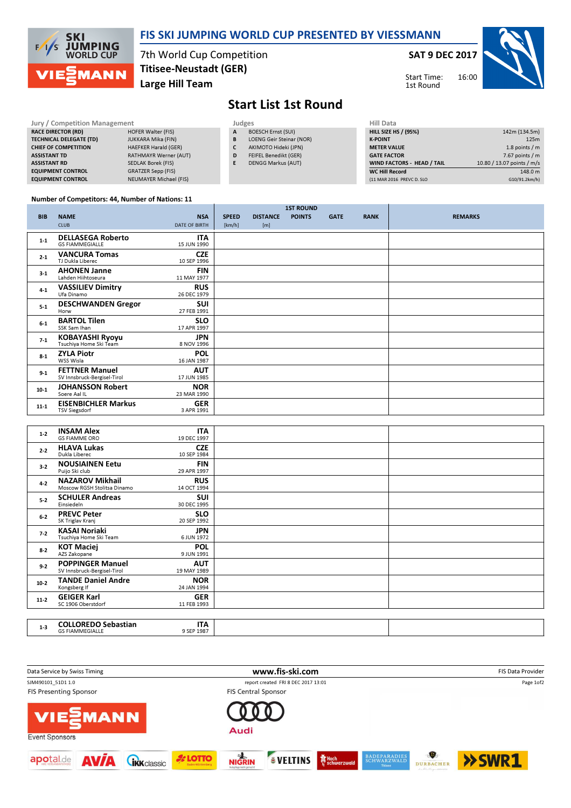

## FIS SKI JUMPING WORLD CUP PRESENTED BY VIESSMANN

7th World Cup Competition Large Hill Team Titisee-Neustadt (GER)

### SAT 9 DEC 2017

Start Time: 1st Round



# Start List 1st Round

#### Jury / Competition Management Judges<br>
RACE DIRECTOR (RD) HOFER Walter (FIS) A BC RACE DIRECTOR (RD) TECHNICAL DELEGATE (TD) JUKKARA Mika (FIN) CHIEF OF COMPETITION HAEFKER Harald (GER) ASSISTANT TD RATHMAYR Werner (AUT) ASSISTANT RD SEDLAK Borek (FIS) EQUIPMENT CONTROL GRATZER Sepp (FIS) EQUIPMENT CONTROL NEUMAYER Michael (FIS) **BOESCH Ernst (SUI)** B LOENG Geir Steinar (NOR) C AKIMOTO Hideki (JPN) D FEIFEL Benedikt (GER) E DENGG Markus (AUT)

| <b>Hill Data</b>            |                            |
|-----------------------------|----------------------------|
| <b>HILL SIZE HS / (95%)</b> | 142m (134.5m)              |
| <b>K-POINT</b>              | 125m                       |
| <b>METER VALUE</b>          | 1.8 points $/m$            |
| <b>GATE FACTOR</b>          | 7.67 points $/m$           |
| WIND FACTORS - HEAD / TAIL  | 10.80 / 13.07 points / m/s |
| <b>WC Hill Record</b>       | 148.0 m                    |
| (11 MAR 2016 PREVC D. SLO   | G10/91.2km/h)              |

### Number of Competitors: 44, Number of Nations: 11

|            |                                                      |                           |              |                 | <b>1ST ROUND</b> |             |             |                |
|------------|------------------------------------------------------|---------------------------|--------------|-----------------|------------------|-------------|-------------|----------------|
| <b>BIB</b> | <b>NAME</b>                                          | <b>NSA</b>                | <b>SPEED</b> | <b>DISTANCE</b> | <b>POINTS</b>    | <b>GATE</b> | <b>RANK</b> | <b>REMARKS</b> |
|            | <b>CLUB</b>                                          | <b>DATE OF BIRTH</b>      | [km/h]       | [m]             |                  |             |             |                |
| $1 - 1$    | <b>DELLASEGA Roberto</b><br><b>GS FIAMMEGIALLE</b>   | <b>ITA</b><br>15 JUN 1990 |              |                 |                  |             |             |                |
| $2 - 1$    | <b>VANCURA Tomas</b><br>TJ Dukla Liberec             | <b>CZE</b><br>10 SEP 1996 |              |                 |                  |             |             |                |
| $3-1$      | <b>AHONEN Janne</b><br>Lahden Hiihtoseura            | <b>FIN</b><br>11 MAY 1977 |              |                 |                  |             |             |                |
| $4-1$      | <b>VASSILIEV Dimitry</b><br>Ufa Dinamo               | <b>RUS</b><br>26 DEC 1979 |              |                 |                  |             |             |                |
| $5 - 1$    | <b>DESCHWANDEN Gregor</b><br>Horw                    | SUI<br>27 FEB 1991        |              |                 |                  |             |             |                |
| $6-1$      | <b>BARTOL Tilen</b><br>SSK Sam Ihan                  | <b>SLO</b><br>17 APR 1997 |              |                 |                  |             |             |                |
| $7-1$      | <b>KOBAYASHI Ryoyu</b><br>Tsuchiya Home Ski Team     | <b>JPN</b><br>8 NOV 1996  |              |                 |                  |             |             |                |
| $8-1$      | <b>ZYLA Piotr</b><br>WSS Wisla                       | <b>POL</b><br>16 JAN 1987 |              |                 |                  |             |             |                |
| $9 - 1$    | <b>FETTNER Manuel</b><br>SV Innsbruck-Bergisel-Tirol | <b>AUT</b><br>17 JUN 1985 |              |                 |                  |             |             |                |
| $10-1$     | <b>JOHANSSON Robert</b><br>Soere Aal IL              | <b>NOR</b><br>23 MAR 1990 |              |                 |                  |             |             |                |
| $11 - 1$   | <b>EISENBICHLER Markus</b><br><b>TSV Siegsdorf</b>   | <b>GER</b><br>3 APR 1991  |              |                 |                  |             |             |                |

| $1-2$   | <b>INSAM Alex</b><br><b>GS FIAMME ORO</b>              | <b>ITA</b><br>19 DEC 1997 |  |
|---------|--------------------------------------------------------|---------------------------|--|
| $2 - 2$ | <b>HLAVA Lukas</b><br>Dukla Liberec                    | <b>CZE</b><br>10 SEP 1984 |  |
| $3-2$   | <b>NOUSIAINEN Eetu</b><br>Puijo Ski club               | <b>FIN</b><br>29 APR 1997 |  |
| $4 - 2$ | <b>NAZAROV Mikhail</b><br>Moscow RGSH Stolitsa Dinamo  | <b>RUS</b><br>14 OCT 1994 |  |
| $5-2$   | <b>SCHULER Andreas</b><br>Einsiedeln                   | <b>SUI</b><br>30 DEC 1995 |  |
| $6-2$   | <b>PREVC Peter</b><br>SK Triglav Kranj                 | <b>SLO</b><br>20 SEP 1992 |  |
| $7-2$   | <b>KASAI Noriaki</b><br>Tsuchiya Home Ski Team         | <b>JPN</b><br>6 JUN 1972  |  |
| $8 - 2$ | <b>KOT Maciej</b><br>AZS Zakopane                      | <b>POL</b><br>9 JUN 1991  |  |
| $9-2$   | <b>POPPINGER Manuel</b><br>SV Innsbruck-Bergisel-Tirol | <b>AUT</b><br>19 MAY 1989 |  |
| $10-2$  | <b>TANDE Daniel Andre</b><br>Kongsberg If              | <b>NOR</b><br>24 JAN 1994 |  |
| $11-2$  | <b>GEIGER Karl</b><br>SC 1906 Oberstdorf               | <b>GER</b><br>11 FEB 1993 |  |
|         |                                                        |                           |  |
| $1 - 3$ | <b>COLLOREDO Sebastian</b><br><b>GS FIAMMEGIALLE</b>   | <b>ITA</b><br>9 SEP 1987  |  |